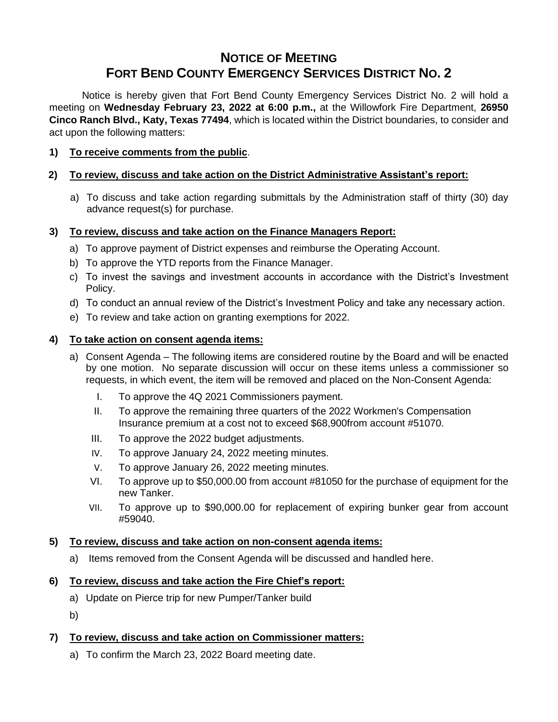# **NOTICE OF MEETING FORT BEND COUNTY EMERGENCY SERVICES DISTRICT NO. 2**

Notice is hereby given that Fort Bend County Emergency Services District No. 2 will hold a meeting on **Wednesday February 23, 2022 at 6:00 p.m.,** at the Willowfork Fire Department, **26950 Cinco Ranch Blvd., Katy, Texas 77494**, which is located within the District boundaries, to consider and act upon the following matters:

## **1) To receive comments from the public**.

## **2) To review, discuss and take action on the District Administrative Assistant's report:**

a) To discuss and take action regarding submittals by the Administration staff of thirty (30) day advance request(s) for purchase.

#### **3) To review, discuss and take action on the Finance Managers Report:**

- a) To approve payment of District expenses and reimburse the Operating Account.
- b) To approve the YTD reports from the Finance Manager.
- c) To invest the savings and investment accounts in accordance with the District's Investment Policy.
- d) To conduct an annual review of the District's Investment Policy and take any necessary action.
- e) To review and take action on granting exemptions for 2022.

#### **4) To take action on consent agenda items:**

- a) Consent Agenda The following items are considered routine by the Board and will be enacted by one motion. No separate discussion will occur on these items unless a commissioner so requests, in which event, the item will be removed and placed on the Non-Consent Agenda:
	- I. To approve the 4Q 2021 Commissioners payment.
	- II. To approve the remaining three quarters of the 2022 Workmen's Compensation Insurance premium at a cost not to exceed \$68,900from account #51070.
	- III. To approve the 2022 budget adjustments.
	- IV. To approve January 24, 2022 meeting minutes.
	- V. To approve January 26, 2022 meeting minutes.
	- VI. To approve up to \$50,000.00 from account #81050 for the purchase of equipment for the new Tanker.
	- VII. To approve up to \$90,000.00 for replacement of expiring bunker gear from account #59040.

#### **5) To review, discuss and take action on non-consent agenda items:**

a) Items removed from the Consent Agenda will be discussed and handled here.

## **6) To review, discuss and take action the Fire Chief's report:**

- a) Update on Pierce trip for new Pumper/Tanker build
- b)

#### **7) To review, discuss and take action on Commissioner matters:**

a) To confirm the March 23, 2022 Board meeting date.